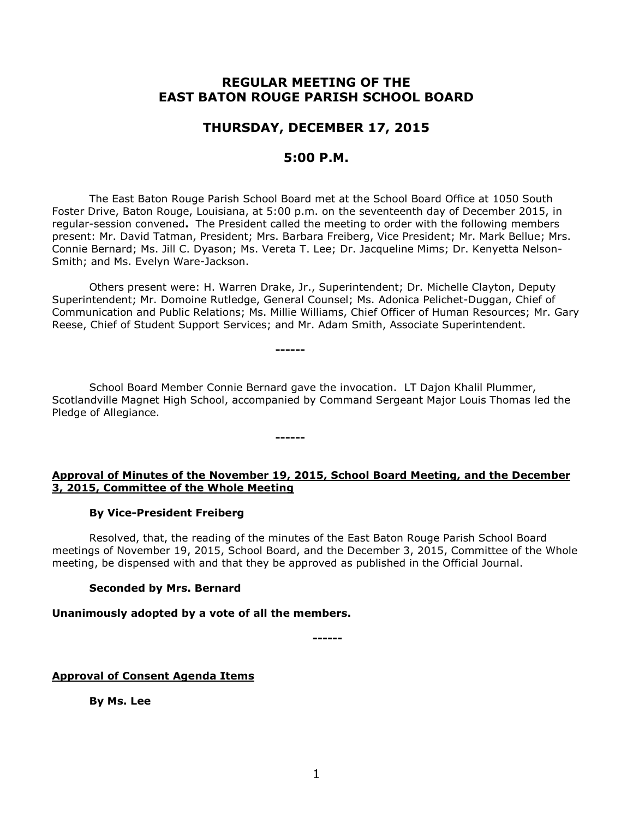# **REGULAR MEETING OF THE EAST BATON ROUGE PARISH SCHOOL BOARD**

# **THURSDAY, DECEMBER 17, 2015**

## **5:00 P.M.**

The East Baton Rouge Parish School Board met at the School Board Office at 1050 South Foster Drive, Baton Rouge, Louisiana, at 5:00 p.m. on the seventeenth day of December 2015, in regular-session convened**.** The President called the meeting to order with the following members present: Mr. David Tatman, President; Mrs. Barbara Freiberg, Vice President; Mr. Mark Bellue; Mrs. Connie Bernard; Ms. Jill C. Dyason; Ms. Vereta T. Lee; Dr. Jacqueline Mims; Dr. Kenyetta Nelson-Smith; and Ms. Evelyn Ware-Jackson.

Others present were: H. Warren Drake, Jr., Superintendent; Dr. Michelle Clayton, Deputy Superintendent; Mr. Domoine Rutledge, General Counsel; Ms. Adonica Pelichet-Duggan, Chief of Communication and Public Relations; Ms. Millie Williams, Chief Officer of Human Resources; Mr. Gary Reese, Chief of Student Support Services; and Mr. Adam Smith, Associate Superintendent.

School Board Member Connie Bernard gave the invocation. LT Dajon Khalil Plummer, Scotlandville Magnet High School, accompanied by Command Sergeant Major Louis Thomas led the Pledge of Allegiance.

**------**

**------**

### **Approval of Minutes of the November 19, 2015, School Board Meeting, and the December 3, 2015, Committee of the Whole Meeting**

### **By Vice-President Freiberg**

Resolved, that, the reading of the minutes of the East Baton Rouge Parish School Board meetings of November 19, 2015, School Board, and the December 3, 2015, Committee of the Whole meeting, be dispensed with and that they be approved as published in the Official Journal.

### **Seconded by Mrs. Bernard**

### **Unanimously adopted by a vote of all the members.**

**------**

### **Approval of Consent Agenda Items**

**By Ms. Lee**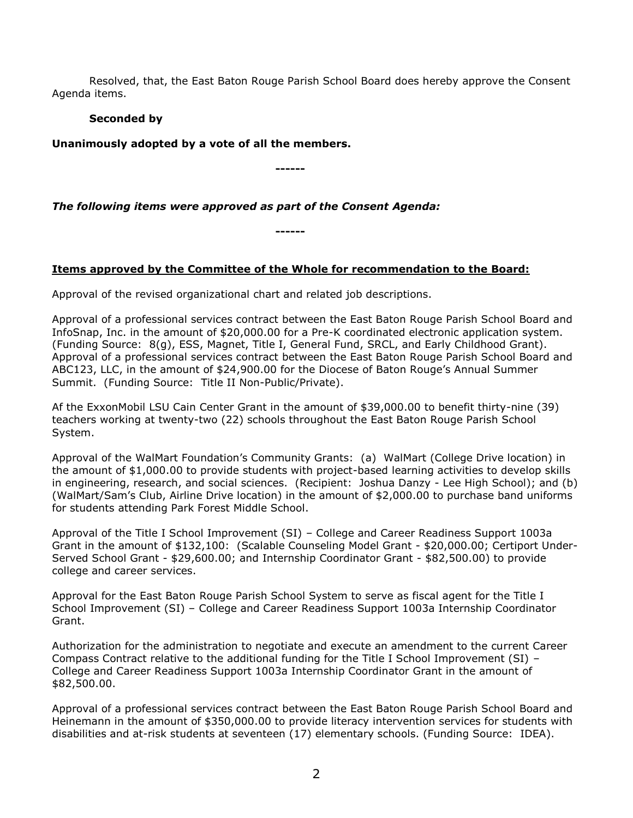Resolved, that, the East Baton Rouge Parish School Board does hereby approve the Consent Agenda items.

### **Seconded by**

**Unanimously adopted by a vote of all the members.**

**------**

### *The following items were approved as part of the Consent Agenda:*

**------**

### **Items approved by the Committee of the Whole for recommendation to the Board:**

Approval of the revised organizational chart and related job descriptions.

Approval of a professional services contract between the East Baton Rouge Parish School Board and InfoSnap, Inc. in the amount of \$20,000.00 for a Pre-K coordinated electronic application system. (Funding Source: 8(g), ESS, Magnet, Title I, General Fund, SRCL, and Early Childhood Grant). Approval of a professional services contract between the East Baton Rouge Parish School Board and ABC123, LLC, in the amount of \$24,900.00 for the Diocese of Baton Rouge's Annual Summer Summit. (Funding Source: Title II Non-Public/Private).

Af the ExxonMobil LSU Cain Center Grant in the amount of \$39,000.00 to benefit thirty-nine (39) teachers working at twenty-two (22) schools throughout the East Baton Rouge Parish School System.

Approval of the WalMart Foundation's Community Grants: (a) WalMart (College Drive location) in the amount of \$1,000.00 to provide students with project-based learning activities to develop skills in engineering, research, and social sciences. (Recipient: Joshua Danzy - Lee High School); and (b) (WalMart/Sam's Club, Airline Drive location) in the amount of \$2,000.00 to purchase band uniforms for students attending Park Forest Middle School.

Approval of the Title I School Improvement (SI) – College and Career Readiness Support 1003a Grant in the amount of \$132,100: (Scalable Counseling Model Grant - \$20,000.00; Certiport Under-Served School Grant - \$29,600.00; and Internship Coordinator Grant - \$82,500.00) to provide college and career services.

Approval for the East Baton Rouge Parish School System to serve as fiscal agent for the Title I School Improvement (SI) – College and Career Readiness Support 1003a Internship Coordinator Grant.

Authorization for the administration to negotiate and execute an amendment to the current Career Compass Contract relative to the additional funding for the Title I School Improvement (SI) – College and Career Readiness Support 1003a Internship Coordinator Grant in the amount of \$82,500.00.

Approval of a professional services contract between the East Baton Rouge Parish School Board and Heinemann in the amount of \$350,000.00 to provide literacy intervention services for students with disabilities and at-risk students at seventeen (17) elementary schools. (Funding Source: IDEA).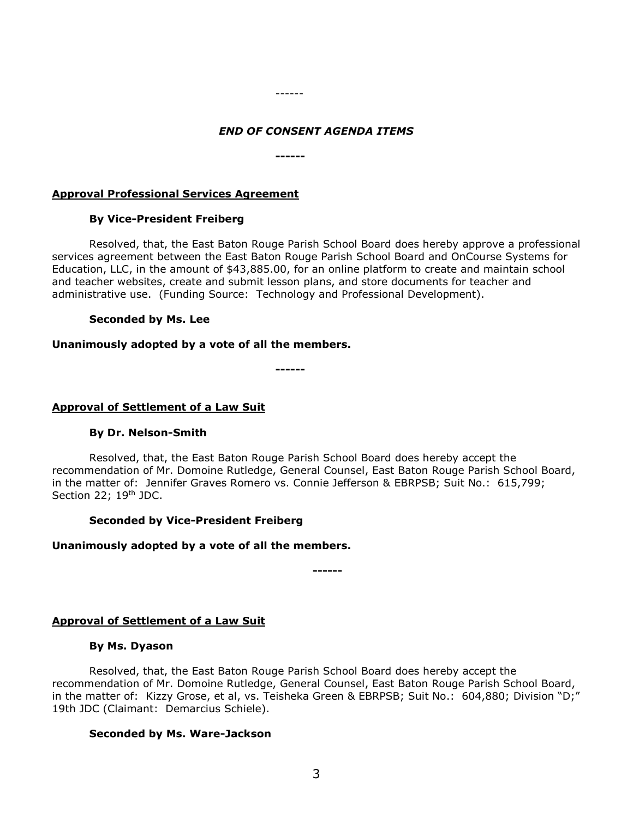#### ------

#### *END OF CONSENT AGENDA ITEMS*

**------**

#### **Approval Professional Services Agreement**

#### **By Vice-President Freiberg**

Resolved, that, the East Baton Rouge Parish School Board does hereby approve a professional services agreement between the East Baton Rouge Parish School Board and OnCourse Systems for Education, LLC, in the amount of \$43,885.00, for an online platform to create and maintain school and teacher websites, create and submit lesson plans, and store documents for teacher and administrative use. (Funding Source: Technology and Professional Development).

#### **Seconded by Ms. Lee**

#### **Unanimously adopted by a vote of all the members.**

**------**

#### **Approval of Settlement of a Law Suit**

### **By Dr. Nelson-Smith**

Resolved, that, the East Baton Rouge Parish School Board does hereby accept the recommendation of Mr. Domoine Rutledge, General Counsel, East Baton Rouge Parish School Board, in the matter of: Jennifer Graves Romero vs. Connie Jefferson & EBRPSB; Suit No.: 615,799; Section 22; 19<sup>th</sup> JDC.

### **Seconded by Vice-President Freiberg**

#### **Unanimously adopted by a vote of all the members.**

**------**

### **Approval of Settlement of a Law Suit**

#### **By Ms. Dyason**

Resolved, that, the East Baton Rouge Parish School Board does hereby accept the recommendation of Mr. Domoine Rutledge, General Counsel, East Baton Rouge Parish School Board, in the matter of: Kizzy Grose, et al, vs. Teisheka Green & EBRPSB; Suit No.: 604,880; Division "D;" 19th JDC (Claimant: Demarcius Schiele).

#### **Seconded by Ms. Ware-Jackson**